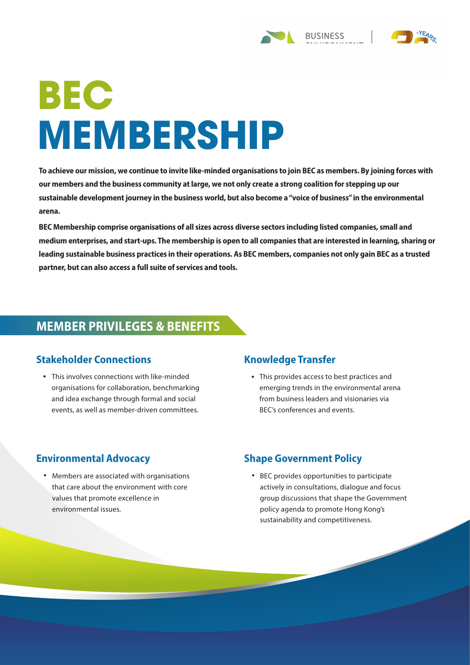# **BEC MEMBERSHIP**

**To achieve our mission, we continue to invite like-minded organisations to join BEC as members. By joining forces with our members and the business community at large, we not only create a strong coalition for stepping up our sustainable development journey in the business world, but also become a "voice of business" in the environmental arena.**

**BEC Membership comprise organisations of all sizes across diverse sectors including listed companies, small and medium enterprises, and start-ups. The membership is open to all companies that are interested in learning, sharing or leading sustainable business practices in their operations. As BEC members, companies not only gain BEC as a trusted partner, but can also access a full suite of services and tools.**

## **MEMBER PRIVILEGES & BENEFITS**

#### **Stakeholder Connections**

This involves connections with like-minded • • organisations for collaboration, benchmarking and idea exchange through formal and social events, as well as member-driven committees.

## **Knowledge Transfer**

This provides access to best practices and emerging trends in the environmental arena from business leaders and visionaries via BEC's conferences and events.

## **Environmental Advocacy**

• Members are associated with organisations • that care about the environment with core values that promote excellence in environmental issues.

#### **Shape Government Policy**

BEC provides opportunities to participate actively in consultations, dialogue and focus group discussions that shape the Government policy agenda to promote Hong Kong's sustainability and competitiveness.